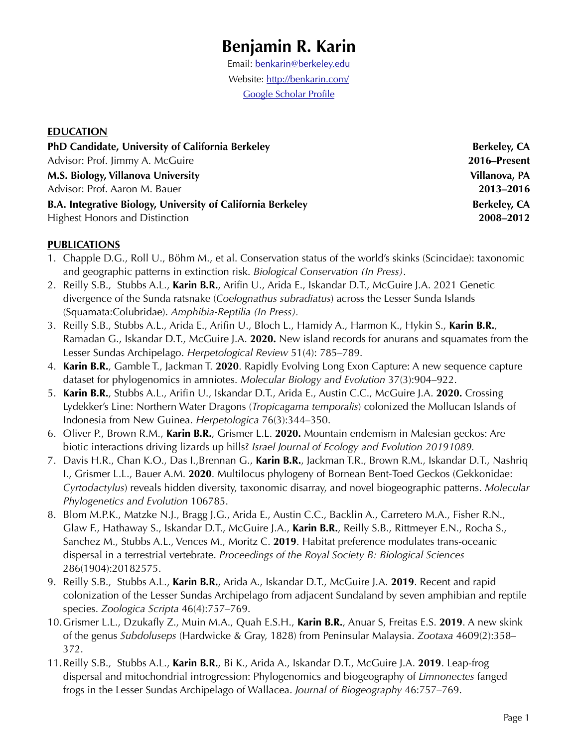# **Benjamin R. Karin**

Email: [benkarin@berkeley.edu](mailto:benkarin@berkeley.edu) Website:<http://benkarin.com/> [Google Scholar Profile](https://scholar.google.com/citations?user=Pf6rlM4AAAAJ&hl=en&oi=sra)

#### **EDUCATION**

| PhD Candidate, University of California Berkeley            | <b>Berkeley, CA</b> |
|-------------------------------------------------------------|---------------------|
| Advisor: Prof. Jimmy A. McGuire                             | 2016–Present        |
| M.S. Biology, Villanova University                          | Villanova, PA       |
| Advisor: Prof. Aaron M. Bauer                               | 2013-2016           |
| B.A. Integrative Biology, University of California Berkeley | <b>Berkeley, CA</b> |
| <b>Highest Honors and Distinction</b>                       | 2008-2012           |

#### **PUBLICATIONS**

- 1. Chapple D.G., Roll U., Böhm M., et al. Conservation status of the world's skinks (Scincidae): taxonomic and geographic patterns in extinction risk. *Biological Conservation (In Press)*.
- 2. Reilly S.B., Stubbs A.L., **Karin B.R.**, Arifin U., Arida E., Iskandar D.T., McGuire J.A. 2021 Genetic divergence of the Sunda ratsnake (*Coelognathus subradiatus*) across the Lesser Sunda Islands (Squamata:Colubridae). *Amphibia-Reptilia (In Press).*
- 3. Reilly S.B., Stubbs A.L., Arida E., Arifin U., Bloch L., Hamidy A., Harmon K., Hykin S., **Karin B.R.**, Ramadan G., Iskandar D.T., McGuire J.A. **2020.** New island records for anurans and squamates from the Lesser Sundas Archipelago. *Herpetological Review* 51(4): 785–789.
- 4. **Karin B.R.**, Gamble T., Jackman T. **2020**. Rapidly Evolving Long Exon Capture: A new sequence capture dataset for phylogenomics in amniotes. *Molecular Biology and Evolution* 37(3):904–922.
- 5. **Karin B.R.**, Stubbs A.L., Arifin U., Iskandar D.T., Arida E., Austin C.C., McGuire J.A. **2020.** Crossing Lydekker's Line: Northern Water Dragons (*Tropicagama temporalis*) colonized the Mollucan Islands of Indonesia from New Guinea. *Herpetologica* 76(3):344–350.
- 6. Oliver P., Brown R.M., **Karin B.R.**, Grismer L.L. **2020.** Mountain endemism in Malesian geckos: Are biotic interactions driving lizards up hills? *Israel Journal of Ecology and Evolution 20191089.*
- 7. Davis H.R., Chan K.O., Das I.,Brennan G., **Karin B.R.**, Jackman T.R., Brown R.M., Iskandar D.T., Nashriq I., Grismer L.L., Bauer A.M. **2020**. Multilocus phylogeny of Bornean Bent-Toed Geckos (Gekkonidae: *Cyrtodactylus*) reveals hidden diversity, taxonomic disarray, and novel biogeographic patterns. *Molecular Phylogenetics and Evolution* 106785.
- 8. Blom M.P.K., Matzke N.J., Bragg J.G., Arida E., Austin C.C., Backlin A., Carretero M.A., Fisher R.N., Glaw F., Hathaway S., Iskandar D.T., McGuire J.A., **Karin B.R.**, Reilly S.B., Rittmeyer E.N., Rocha S., Sanchez M., Stubbs A.L., Vences M., Moritz C. **2019**. Habitat preference modulates trans-oceanic dispersal in a terrestrial vertebrate. *Proceedings of the Royal Society B: Biological Sciences*  286(1904):20182575.
- 9. Reilly S.B., Stubbs A.L., **Karin B.R.**, Arida A., Iskandar D.T., McGuire J.A. **2019**. Recent and rapid colonization of the Lesser Sundas Archipelago from adjacent Sundaland by seven amphibian and reptile species. *Zoologica Scripta* 46(4):757–769.
- 10.Grismer L.L., Dzukafly Z., Muin M.A., Quah E.S.H., **Karin B.R.**, Anuar S, Freitas E.S. **2019**. A new skink of the genus *Subdoluseps* (Hardwicke & Gray, 1828) from Peninsular Malaysia. *Zootaxa* 4609(2):358– 372.
- 11.Reilly S.B., Stubbs A.L., **Karin B.R.**, Bi K., Arida A., Iskandar D.T., McGuire J.A. **2019**. Leap-frog dispersal and mitochondrial introgression: Phylogenomics and biogeography of *Limnonectes* fanged frogs in the Lesser Sundas Archipelago of Wallacea. *Journal of Biogeography* 46:757–769.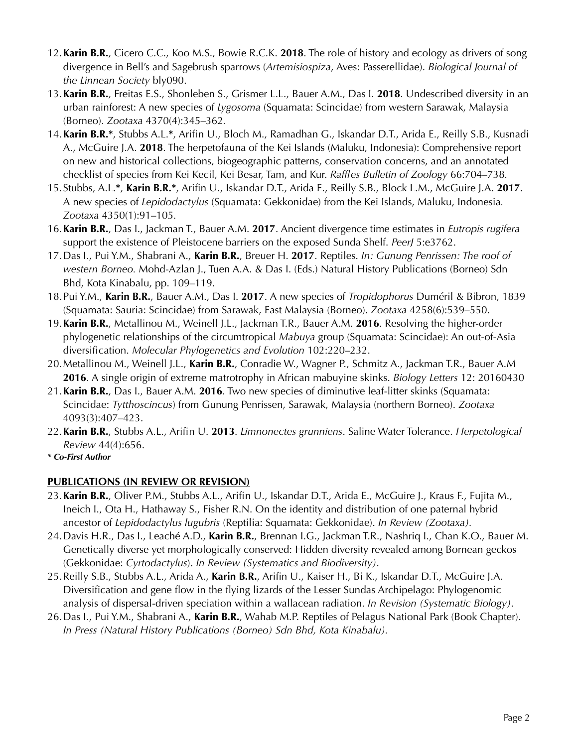- 12.**Karin B.R.**, Cicero C.C., Koo M.S., Bowie R.C.K. **2018**. The role of history and ecology as drivers of song divergence in Bell's and Sagebrush sparrows (*Artemisiospiza*, Aves: Passerellidae). *Biological Journal of the Linnean Society* bly090.
- 13.**Karin B.R.**, Freitas E.S., Shonleben S., Grismer L.L., Bauer A.M., Das I. **2018**. Undescribed diversity in an urban rainforest: A new species of *Lygosoma* (Squamata: Scincidae) from western Sarawak, Malaysia (Borneo). *Zootaxa* 4370(4):345–362*.*
- 14.**Karin B.R.\***, Stubbs A.L.**\***, Arifin U., Bloch M., Ramadhan G., Iskandar D.T., Arida E., Reilly S.B., Kusnadi A., McGuire J.A. **2018**. The herpetofauna of the Kei Islands (Maluku, Indonesia): Comprehensive report on new and historical collections, biogeographic patterns, conservation concerns, and an annotated checklist of species from Kei Kecil, Kei Besar, Tam, and Kur. *Raffles Bulletin of Zoology* 66:704–738*.*
- 15.Stubbs, A.L.**\***, **Karin B.R.\***, Arifin U., Iskandar D.T., Arida E., Reilly S.B., Block L.M., McGuire J.A. **2017**. A new species of *Lepidodactylus* (Squamata: Gekkonidae) from the Kei Islands, Maluku, Indonesia*. Zootaxa* 4350(1):91–105*.*
- 16.**Karin B.R.**, Das I., Jackman T., Bauer A.M. **2017**. Ancient divergence time estimates in *Eutropis rugifera*  support the existence of Pleistocene barriers on the exposed Sunda Shelf. *PeerJ* 5:e3762.
- 17.Das I., Pui Y.M., Shabrani A., **Karin B.R.**, Breuer H. **2017**. Reptiles. *In: Gunung Penrissen: The roof of western Borneo.* Mohd-Azlan J., Tuen A.A. & Das I. (Eds.) Natural History Publications (Borneo) Sdn Bhd, Kota Kinabalu, pp. 109–119.
- 18.Pui Y.M., **Karin B.R.**, Bauer A.M., Das I. **2017**. A new species of *Tropidophorus* Duméril & Bibron, 1839 (Squamata: Sauria: Scincidae) from Sarawak, East Malaysia (Borneo). *Zootaxa* 4258(6):539–550.
- 19.**Karin B.R.**, Metallinou M., Weinell J.L., Jackman T.R., Bauer A.M. **2016**. Resolving the higher-order phylogenetic relationships of the circumtropical *Mabuya* group (Squamata: Scincidae): An out-of-Asia diversification. *Molecular Phylogenetics and Evolution* 102:220–232.
- 20.Metallinou M., Weinell J.L., **Karin B.R.**, Conradie W., Wagner P., Schmitz A., Jackman T.R., Bauer A.M **2016**. A single origin of extreme matrotrophy in African mabuyine skinks. *Biology Letters* 12: 20160430
- 21.**Karin B.R.**, Das I., Bauer A.M. **2016**. Two new species of diminutive leaf-litter skinks (Squamata: Scincidae: *Tytthoscincus*) from Gunung Penrissen, Sarawak, Malaysia (northern Borneo). *Zootaxa*  4093(3):407–423.
- 22.**Karin B.R.**, Stubbs A.L., Arifin U. **2013**. *Limnonectes grunniens*. Saline Water Tolerance. *Herpetological Review* 44(4):656.
- *\* Co-First Author*

## **PUBLICATIONS (IN REVIEW OR REVISION)**

- 23.**Karin B.R.**, Oliver P.M., Stubbs A.L., Arifin U., Iskandar D.T., Arida E., McGuire J., Kraus F., Fujita M., Ineich I., Ota H., Hathaway S., Fisher R.N. On the identity and distribution of one paternal hybrid ancestor of *Lepidodactylus lugubris* (Reptilia: Squamata: Gekkonidae). *In Review (Zootaxa).*
- 24.Davis H.R., Das I., Leaché A.D., **Karin B.R.**, Brennan I.G., Jackman T.R., Nashriq I., Chan K.O., Bauer M. Genetically diverse yet morphologically conserved: Hidden diversity revealed among Bornean geckos (Gekkonidae: *Cyrtodactylus*). *In Review (Systematics and Biodiversity)*.
- 25.Reilly S.B., Stubbs A.L., Arida A., **Karin B.R.**, Arifin U., Kaiser H., Bi K., Iskandar D.T., McGuire J.A. Diversification and gene flow in the flying lizards of the Lesser Sundas Archipelago: Phylogenomic analysis of dispersal-driven speciation within a wallacean radiation. *In Revision (Systematic Biology)*.
- 26.Das I., Pui Y.M., Shabrani A., **Karin B.R.**, Wahab M.P. Reptiles of Pelagus National Park (Book Chapter). *In Press (Natural History Publications (Borneo) Sdn Bhd, Kota Kinabalu).*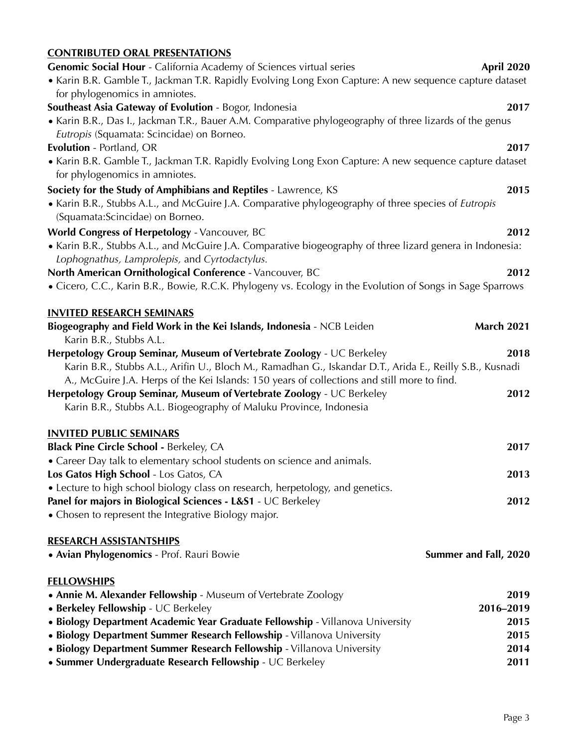## **CONTRIBUTED ORAL PRESENTATIONS**

| Genomic Social Hour - California Academy of Sciences virtual series                                                                                        | April 2020            |
|------------------------------------------------------------------------------------------------------------------------------------------------------------|-----------------------|
| • Karin B.R. Gamble T., Jackman T.R. Rapidly Evolving Long Exon Capture: A new sequence capture dataset                                                    |                       |
| for phylogenomics in amniotes.                                                                                                                             |                       |
| Southeast Asia Gateway of Evolution - Bogor, Indonesia                                                                                                     | 2017                  |
| • Karin B.R., Das I., Jackman T.R., Bauer A.M. Comparative phylogeography of three lizards of the genus                                                    |                       |
| Eutropis (Squamata: Scincidae) on Borneo.                                                                                                                  |                       |
| Evolution - Portland, OR                                                                                                                                   | 2017                  |
| • Karin B.R. Gamble T., Jackman T.R. Rapidly Evolving Long Exon Capture: A new sequence capture dataset                                                    |                       |
| for phylogenomics in amniotes.                                                                                                                             |                       |
| Society for the Study of Amphibians and Reptiles - Lawrence, KS                                                                                            | 2015                  |
| • Karin B.R., Stubbs A.L., and McGuire J.A. Comparative phylogeography of three species of Eutropis<br>(Squamata:Scincidae) on Borneo.                     |                       |
| World Congress of Herpetology - Vancouver, BC                                                                                                              | 2012                  |
| • Karin B.R., Stubbs A.L., and McGuire J.A. Comparative biogeography of three lizard genera in Indonesia:<br>Lophognathus, Lamprolepis, and Cyrtodactylus. |                       |
| North American Ornithological Conference - Vancouver, BC                                                                                                   | 2012                  |
| • Cicero, C.C., Karin B.R., Bowie, R.C.K. Phylogeny vs. Ecology in the Evolution of Songs in Sage Sparrows                                                 |                       |
|                                                                                                                                                            |                       |
| <b>INVITED RESEARCH SEMINARS</b>                                                                                                                           |                       |
| Biogeography and Field Work in the Kei Islands, Indonesia - NCB Leiden<br>Karin B.R., Stubbs A.L.                                                          | <b>March 2021</b>     |
| Herpetology Group Seminar, Museum of Vertebrate Zoology - UC Berkeley                                                                                      | 2018                  |
| Karin B.R., Stubbs A.L., Arifin U., Bloch M., Ramadhan G., Iskandar D.T., Arida E., Reilly S.B., Kusnadi                                                   |                       |
| A., McGuire J.A. Herps of the Kei Islands: 150 years of collections and still more to find.                                                                |                       |
| Herpetology Group Seminar, Museum of Vertebrate Zoology - UC Berkeley                                                                                      | 2012                  |
| Karin B.R., Stubbs A.L. Biogeography of Maluku Province, Indonesia                                                                                         |                       |
| <b>INVITED PUBLIC SEMINARS</b>                                                                                                                             |                       |
| Black Pine Circle School - Berkeley, CA                                                                                                                    | 2017                  |
| • Career Day talk to elementary school students on science and animals.                                                                                    |                       |
| Los Gatos High School - Los Gatos, CA                                                                                                                      | 2013                  |
| • Lecture to high school biology class on research, herpetology, and genetics.                                                                             |                       |
| Panel for majors in Biological Sciences - L&S1 - UC Berkeley                                                                                               | 2012                  |
| • Chosen to represent the Integrative Biology major.                                                                                                       |                       |
| <b>RESEARCH ASSISTANTSHIPS</b>                                                                                                                             |                       |
| · Avian Phylogenomics - Prof. Rauri Bowie                                                                                                                  | Summer and Fall, 2020 |
|                                                                                                                                                            |                       |
| <b>FELLOWSHIPS</b>                                                                                                                                         |                       |
| • Annie M. Alexander Fellowship - Museum of Vertebrate Zoology                                                                                             | 2019                  |
| • Berkeley Fellowship - UC Berkeley                                                                                                                        | 2016-2019             |
| • Biology Department Academic Year Graduate Fellowship - Villanova University                                                                              | 2015                  |
| • Biology Department Summer Research Fellowship - Villanova University                                                                                     | 2015                  |
| • Biology Department Summer Research Fellowship - Villanova University                                                                                     | 2014                  |
| • Summer Undergraduate Research Fellowship - UC Berkeley                                                                                                   | 2011                  |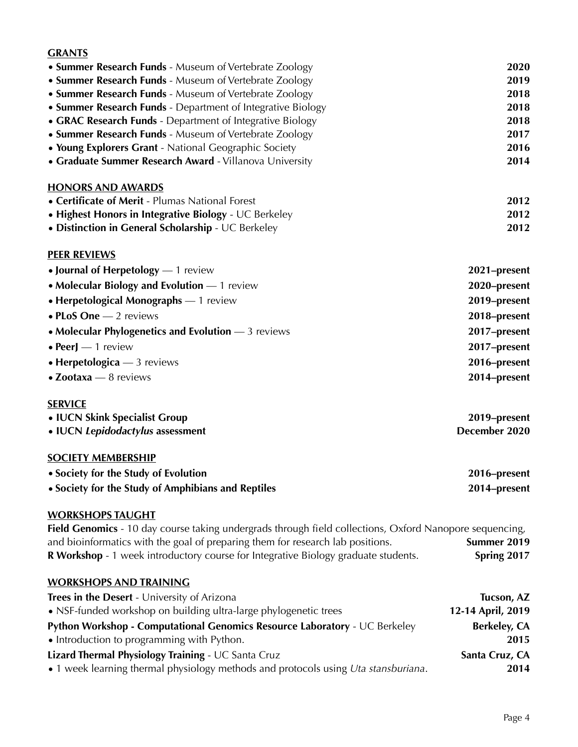## **GRANTS**

| • Summer Research Funds - Museum of Vertebrate Zoology                                                  | 2020          |
|---------------------------------------------------------------------------------------------------------|---------------|
| • Summer Research Funds - Museum of Vertebrate Zoology                                                  | 2019          |
| • Summer Research Funds - Museum of Vertebrate Zoology                                                  | 2018          |
| • Summer Research Funds - Department of Integrative Biology                                             | 2018          |
| • GRAC Research Funds - Department of Integrative Biology                                               | 2018          |
| • Summer Research Funds - Museum of Vertebrate Zoology                                                  | 2017          |
| • Young Explorers Grant - National Geographic Society                                                   | 2016          |
| • Graduate Summer Research Award - Villanova University                                                 | 2014          |
| <b>HONORS AND AWARDS</b>                                                                                |               |
| • Certificate of Merit - Plumas National Forest                                                         | 2012          |
| • Highest Honors in Integrative Biology - UC Berkeley                                                   | 2012          |
| • Distinction in General Scholarship - UC Berkeley                                                      | 2012          |
| <b>PEER REVIEWS</b>                                                                                     |               |
| • Journal of Herpetology $-1$ review                                                                    | 2021-present  |
| • Molecular Biology and Evolution - 1 review                                                            | 2020-present  |
| • Herpetological Monographs - 1 review                                                                  | 2019-present  |
| $\bullet$ PLoS One $-$ 2 reviews                                                                        | 2018-present  |
| • Molecular Phylogenetics and Evolution $-3$ reviews                                                    | 2017-present  |
| $\bullet$ PeerJ $-$ 1 review                                                                            | 2017-present  |
| • Herpetologica $-3$ reviews                                                                            | 2016-present  |
| • Zootaxa - 8 reviews                                                                                   | 2014-present  |
| <b>SERVICE</b>                                                                                          |               |
| • IUCN Skink Specialist Group                                                                           | 2019-present  |
| • IUCN Lepidodactylus assessment                                                                        | December 2020 |
| <b>SOCIETY MEMBERSHIP</b>                                                                               |               |
| • Society for the Study of Evolution                                                                    | 2016–present  |
| • Society for the Study of Amphibians and Reptiles                                                      | 2014-present  |
| <b>WORKSHOPS TAUGHT</b>                                                                                 |               |
| Field Genomics - 10 day course taking undergrads through field collections, Oxford Nanopore sequencing, |               |
| and bioinformatics with the goal of preparing them for research lab positions.                          | Summer 2019   |
| R Workshop - 1 week introductory course for Integrative Biology graduate students.                      | Spring 2017   |
| <b>WORKSHOPS AND TRAINING</b>                                                                           |               |

| Trees in the Desert - University of Arizona                                                | Tucson, AZ          |
|--------------------------------------------------------------------------------------------|---------------------|
| • NSF-funded workshop on building ultra-large phylogenetic trees                           | 12-14 April, 2019   |
| <b>Python Workshop - Computational Genomics Resource Laboratory - UC Berkeley</b>          | <b>Berkeley, CA</b> |
| • Introduction to programming with Python.                                                 | 2015                |
| Lizard Thermal Physiology Training - UC Santa Cruz                                         | Santa Cruz, CA      |
| • 1 week learning thermal physiology methods and protocols using <i>Uta stansburiana</i> . | 2014                |